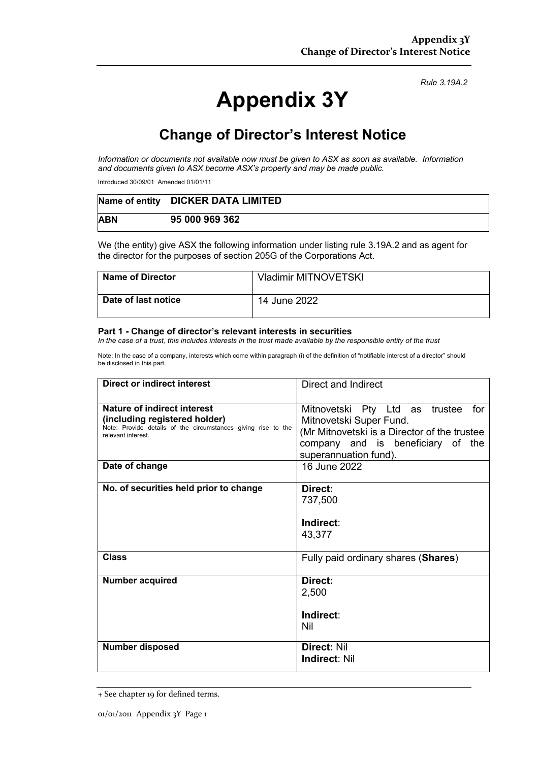# **Appendix 3Y**

*Rule 3.19A.2*

## **Change of Director's Interest Notice**

*Information or documents not available now must be given to ASX as soon as available. Information and documents given to ASX become ASX's property and may be made public.*

Introduced 30/09/01 Amended 01/01/11

|            | Name of entity DICKER DATA LIMITED |
|------------|------------------------------------|
| <b>ABN</b> | 95 000 969 362                     |

We (the entity) give ASX the following information under listing rule 3.19A.2 and as agent for the director for the purposes of section 205G of the Corporations Act.

| <b>Name of Director</b> | <b>Vladimir MITNOVETSKI</b> |
|-------------------------|-----------------------------|
| Date of last notice     | 14 June 2022                |

#### **Part 1 - Change of director's relevant interests in securities**

*In the case of a trust, this includes interests in the trust made available by the responsible entity of the trust*

Note: In the case of a company, interests which come within paragraph (i) of the definition of "notifiable interest of a director" should be disclosed in this part.

| <b>Direct or indirect interest</b>                                                                                                                  | Direct and Indirect                                                                                                                                                            |
|-----------------------------------------------------------------------------------------------------------------------------------------------------|--------------------------------------------------------------------------------------------------------------------------------------------------------------------------------|
| Nature of indirect interest<br>(including registered holder)<br>Note: Provide details of the circumstances giving rise to the<br>relevant interest. | Mitnovetski Pty Ltd as trustee<br>for<br>Mitnovetski Super Fund.<br>(Mr Mitnovetski is a Director of the trustee<br>company and is beneficiary of the<br>superannuation fund). |
| Date of change                                                                                                                                      | 16 June 2022                                                                                                                                                                   |
| No. of securities held prior to change                                                                                                              | Direct:<br>737,500<br>Indirect:<br>43,377                                                                                                                                      |
| <b>Class</b>                                                                                                                                        | Fully paid ordinary shares (Shares)                                                                                                                                            |
| <b>Number acquired</b>                                                                                                                              | Direct:<br>2,500<br>Indirect:<br>Nil                                                                                                                                           |
| Number disposed                                                                                                                                     | Direct: Nil<br><b>Indirect: Nil</b>                                                                                                                                            |

<sup>+</sup> See chapter 19 for defined terms.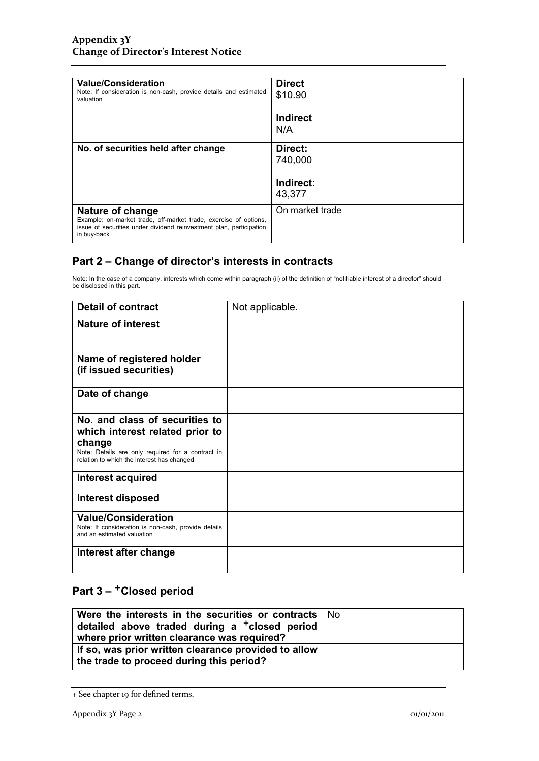| <b>Value/Consideration</b><br>Note: If consideration is non-cash, provide details and estimated<br>valuation                                                                      | <b>Direct</b><br>\$10.90 |
|-----------------------------------------------------------------------------------------------------------------------------------------------------------------------------------|--------------------------|
|                                                                                                                                                                                   | Indirect<br>N/A          |
| No. of securities held after change                                                                                                                                               | Direct:<br>740,000       |
|                                                                                                                                                                                   | Indirect:<br>43,377      |
| <b>Nature of change</b><br>Example: on-market trade, off-market trade, exercise of options,<br>issue of securities under dividend reinvestment plan, participation<br>in buy-back | On market trade          |

#### **Part 2 – Change of director's interests in contracts**

Note: In the case of a company, interests which come within paragraph (ii) of the definition of "notifiable interest of a director" should be disclosed in this part.

| <b>Detail of contract</b>                                                                                       | Not applicable. |
|-----------------------------------------------------------------------------------------------------------------|-----------------|
| <b>Nature of interest</b>                                                                                       |                 |
| Name of registered holder                                                                                       |                 |
| (if issued securities)                                                                                          |                 |
| Date of change                                                                                                  |                 |
| No. and class of securities to                                                                                  |                 |
| which interest related prior to                                                                                 |                 |
| change<br>Note: Details are only required for a contract in<br>relation to which the interest has changed       |                 |
| Interest acquired                                                                                               |                 |
| Interest disposed                                                                                               |                 |
| <b>Value/Consideration</b><br>Note: If consideration is non-cash, provide details<br>and an estimated valuation |                 |
| Interest after change                                                                                           |                 |

### **Part 3 –** +**Closed period**

| Were the interests in the securities or contracts   No<br>detailed above traded during a <sup>+</sup> closed period<br>where prior written clearance was required? |  |
|--------------------------------------------------------------------------------------------------------------------------------------------------------------------|--|
| If so, was prior written clearance provided to allow<br>the trade to proceed during this period?                                                                   |  |

<sup>+</sup> See chapter 19 for defined terms.